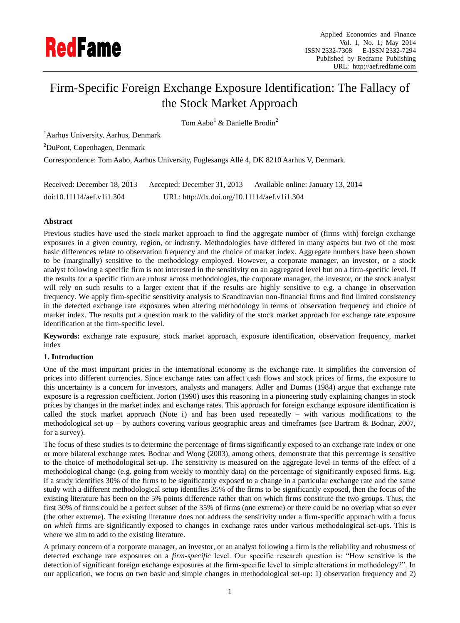

# Firm-Specific Foreign Exchange Exposure Identification: The Fallacy of the Stock Market Approach

Tom Aabo<sup>1</sup> & Danielle Brodin<sup>2</sup>

<sup>1</sup>Aarhus University, Aarhus, Denmark

<sup>2</sup>DuPont, Copenhagen, Denmark

Correspondence: Tom Aabo, Aarhus University, Fuglesangs Allé 4, DK 8210 Aarhus V, Denmark.

| Received: December 18, 2013 | Accepted: December 31, 2013                  | Available online: January 13, 2014 |
|-----------------------------|----------------------------------------------|------------------------------------|
| doi:10.11114/aef.v1i1.304   | URL: http://dx.doi.org/10.11114/aef.v1i1.304 |                                    |

# **Abstract**

Previous studies have used the stock market approach to find the aggregate number of (firms with) foreign exchange exposures in a given country, region, or industry. Methodologies have differed in many aspects but two of the most basic differences relate to observation frequency and the choice of market index. Aggregate numbers have been shown to be (marginally) sensitive to the methodology employed. However, a corporate manager, an investor, or a stock analyst following a specific firm is not interested in the sensitivity on an aggregated level but on a firm-specific level. If the results for a specific firm are robust across methodologies, the corporate manager, the investor, or the stock analyst will rely on such results to a larger extent that if the results are highly sensitive to e.g. a change in observation frequency. We apply firm-specific sensitivity analysis to Scandinavian non-financial firms and find limited consistency in the detected exchange rate exposures when altering methodology in terms of observation frequency and choice of market index. The results put a question mark to the validity of the stock market approach for exchange rate exposure identification at the firm-specific level.

**Keywords:** exchange rate exposure, stock market approach, exposure identification, observation frequency, market index

# **1. Introduction**

One of the most important prices in the international economy is the exchange rate. It simplifies the conversion of prices into different currencies. Since exchange rates can affect cash flows and stock prices of firms, the exposure to this uncertainty is a concern for investors, analysts and managers. Adler and Dumas (1984) argue that exchange rate exposure is a regression coefficient. Jorion (1990) uses this reasoning in a pioneering study explaining changes in stock prices by changes in the market index and exchange rates. This approach for foreign exchange exposure identification is called the stock market approach (Note i) and has been used repeatedly – with various modifications to the methodological set-up – by authors covering various geographic areas and timeframes (see Bartram & Bodnar, 2007, for a survey).

The focus of these studies is to determine the percentage of firms significantly exposed to an exchange rate index or one or more bilateral exchange rates. Bodnar and Wong (2003), among others, demonstrate that this percentage is sensitive to the choice of methodological set-up. The sensitivity is measured on the aggregate level in terms of the effect of a methodological change (e.g. going from weekly to monthly data) on the percentage of significantly exposed firms. E.g. if a study identifies 30% of the firms to be significantly exposed to a change in a particular exchange rate and the same study with a different methodological setup identifies 35% of the firms to be significantly exposed, then the focus of the existing literature has been on the 5% points difference rather than on which firms constitute the two groups. Thus, the first 30% of firms could be a perfect subset of the 35% of firms (one extreme) or there could be no overlap what so ever (the other extreme). The existing literature does not address the sensitivity under a firm-specific approach with a focus on *which* firms are significantly exposed to changes in exchange rates under various methodological set-ups. This is where we aim to add to the existing literature.

A primary concern of a corporate manager, an investor, or an analyst following a firm is the reliability and robustness of detected exchange rate exposures on a *firm-specific* level. Our specific research question is: "How sensitive is the detection of significant foreign exchange exposures at the firm-specific level to simple alterations in methodology?". In our application, we focus on two basic and simple changes in methodological set-up: 1) observation frequency and 2)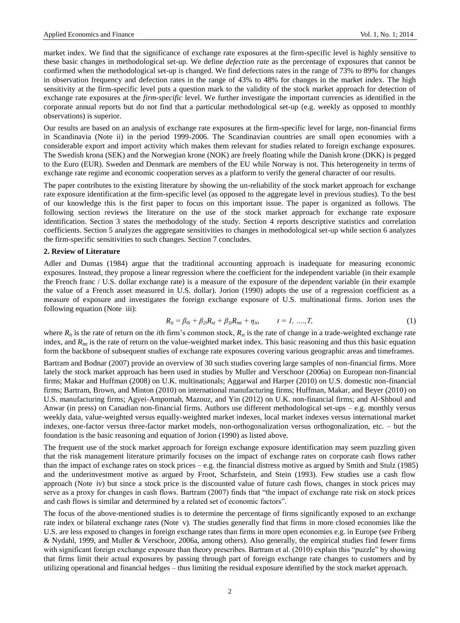market index. We find that the significance of exchange rate exposures at the firm-specific level is highly sensitive to these basic changes in methodological set-up. We define *defection rate* as the percentage of exposures that cannot be confirmed when the methodological set-up is changed. We find defections rates in the range of 73% to 89% for changes in observation frequency and defection rates in the range of 43% to 48% for changes in the market index. The high sensitivity at the firm-specific level puts a question mark to the validity of the stock market approach for detection of exchange rate exposures at the *firm-specific* level. We further investigate the important currencies as identified in the corporate annual reports but do not find that a particular methodological set-up (e.g. weekly as opposed to monthly observations) is superior.

Our results are based on an analysis of exchange rate exposures at the firm-specific level for large, non-financial firms in Scandinavia (Note ii) in the period 1999-2006. The Scandinavian countries are small open economies with a considerable export and import activity which makes them relevant for studies related to foreign exchange exposures. The Swedish krona (SEK) and the Norwegian krone (NOK) are freely floating while the Danish krone (DKK) is pegged to the Euro (EUR). Sweden and Denmark are members of the EU while Norway is not. This heterogeneity in terms of exchange rate regime and economic cooperation serves as a platform to verify the general character of our results.

The paper contributes to the existing literature by showing the un-reliability of the stock market approach for exchange rate exposure identification at the firm-specific level (as opposed to the aggregate level in previous studies). To the best of our knowledge this is the first paper to focus on this important issue. The paper is organized as follows. The following section reviews the literature on the use of the stock market approach for exchange rate exposure identification. Section 3 states the methodology of the study. Section 4 reports descriptive statistics and correlation coefficients. Section 5 analyzes the aggregate sensitivities to changes in methodological set-up while section 6 analyzes the firm-specific sensitivities to such changes. Section 7 concludes.

#### **2. Review of Literature**

Adler and Dumas (1984) argue that the traditional accounting approach is inadequate for measuring economic exposures. Instead, they propose a linear regression where the coefficient for the independent variable (in their example the French franc / U.S. dollar exchange rate) is a measure of the exposure of the dependent variable (in their example the value of a French asset measured in U.S. dollar). Jorion (1990) adopts the use of a regression coefficient as a measure of exposure and investigates the foreign exchange exposure of U.S. multinational firms. Jorion uses the following equation (Note iii):

$$
R_{it} = \beta_{0i} + \beta_{2i}R_{st} + \beta_{3i}R_{mt} + \eta_{it}, \qquad t = 1, \dots, T,
$$
 (1)

where  $R_i$  is the rate of return on the *i*th firm's common stock,  $R_{st}$  is the rate of change in a trade-weighted exchange rate index, and  $R<sub>mt</sub>$  is the rate of return on the value-weighted market index. This basic reasoning and thus this basic equation form the backbone of subsequent studies of exchange rate exposures covering various geographic areas and timeframes.

Bartram and Bodnar (2007) provide an overview of 30 such studies covering large samples of non-financial firms. More lately the stock market approach has been used in studies by Muller and Verschoor (2006a) on European non-financial firms; Makar and Huffman (2008) on U.K. multinationals; Aggarwal and Harper (2010) on U.S. domestic non-financial firms; Bartram, Brown, and Minton (2010) on international manufacturing firms; Huffman, Makar, and Beyer (2010) on U.S. manufacturing firms; Agyei-Ampomah, Mazouz, and Yin (2012) on U.K. non-financial firms; and Al-Shboul and Anwar (in press) on Canadian non-financial firms. Authors use different methodological set-ups – e.g. monthly versus weekly data, value-weighted versus equally-weighted market indexes, local market indexes versus international market indexes, one-factor versus three-factor market models, non-orthogonalization versus orthogonalization, etc. – but the foundation is the basic reasoning and equation of Jorion (1990) as listed above.

The frequent use of the stock market approach for foreign exchange exposure identification may seem puzzling given that the risk management literature primarily focuses on the impact of exchange rates on corporate cash flows rather than the impact of exchange rates on stock prices – e.g. the financial distress motive as argued by Smith and Stulz (1985) and the underinvestment motive as argued by Froot, Scharfstein, and Stein (1993). Few studies use a cash flow approach (Note iv) but since a stock price is the discounted value of future cash flows, changes in stock prices may serve as a proxy for changes in cash flows. Bartram (2007) finds that "the impact of exchange rate risk on stock prices and cash flows is similar and determined by a related set of economic factors".

The focus of the above-mentioned studies is to determine the percentage of firms significantly exposed to an exchange rate index or bilateral exchange rates (Note v). The studies generally find that firms in more closed economies like the U.S. are less exposed to changes in foreign exchange rates than firms in more open economies e.g. in Europe (see Friberg & Nydahl, 1999, and Muller & Verschoor, 2006a, among others). Also generally, the empirical studies find fewer firms with significant foreign exchange exposure than theory prescribes. Bartram et al. (2010) explain this "puzzle" by showing that firms limit their actual exposures by passing through part of foreign exchange rate changes to customers and by utilizing operational and financial hedges – thus limiting the residual exposure identified by the stock market approach.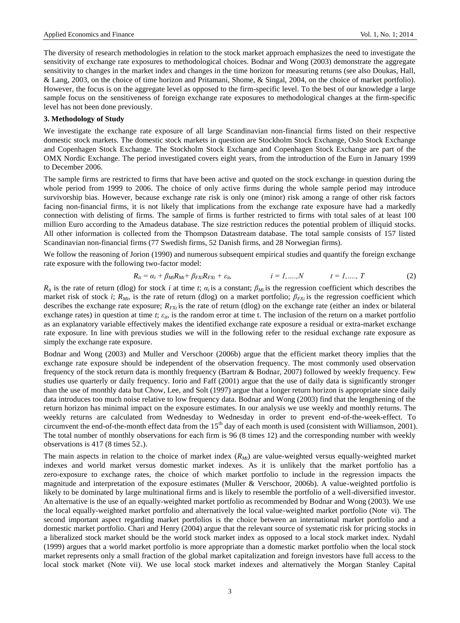The diversity of research methodologies in relation to the stock market approach emphasizes the need to investigate the sensitivity of exchange rate exposures to methodological choices. Bodnar and Wong (2003) demonstrate the aggregate sensitivity to changes in the market index and changes in the time horizon for measuring returns (see also Doukas, Hall, & Lang, 2003, on the choice of time horizon and Pritamani, Shome, & Singal, 2004, on the choice of market portfolio). However, the focus is on the aggregate level as opposed to the firm-specific level. To the best of our knowledge a large sample focus on the sensitiveness of foreign exchange rate exposures to methodological changes at the firm-specific level has not been done previously.

### **3. Methodology of Study**

We investigate the exchange rate exposure of all large Scandinavian non-financial firms listed on their respective domestic stock markets. The domestic stock markets in question are Stockholm Stock Exchange, Oslo Stock Exchange and Copenhagen Stock Exchange. The Stockholm Stock Exchange and Copenhagen Stock Exchange are part of the OMX Nordic Exchange. The period investigated covers eight years, from the introduction of the Euro in January 1999 to December 2006.

The sample firms are restricted to firms that have been active and quoted on the stock exchange in question during the whole period from 1999 to 2006. The choice of only active firms during the whole sample period may introduce survivorship bias. However, because exchange rate risk is only one (minor) risk among a range of other risk factors facing non-financial firms, it is not likely that implications from the exchange rate exposure have had a markedly connection with delisting of firms. The sample of firms is further restricted to firms with total sales of at least 100 million Euro according to the Amadeus database. The size restriction reduces the potential problem of illiquid stocks. All other information is collected from the Thompson Datastream database. The total sample consists of 157 listed Scandinavian non-financial firms (77 Swedish firms, 52 Danish firms, and 28 Norwegian firms).

We follow the reasoning of Jorion (1990) and numerous subsequent empirical studies and quantify the foreign exchange rate exposure with the following two-factor model:

$$
R_{it} = \alpha_i + \beta_{Mi} R_{Mt} + \beta_{FXi} R_{FXi} + \varepsilon_{it}, \qquad i = 1, \ldots, N \qquad t = 1, \ldots, T \qquad (2)
$$

 $R_i$  is the rate of return (dlog) for stock *i* at time *t*;  $a_i$  is a constant;  $\beta_{Mi}$  is the regression coefficient which describes the market risk of stock *i*; *RMt*, is the rate of return (dlog) on a market portfolio; *βFXi* is the regression coefficient which describes the exchange rate exposure;  $R_{FX}$  is the rate of return (dlog) on the exchange rate (either an index or bilateral exchange rates) in question at time  $t$ ;  $\varepsilon_{it}$ , is the random error at time t. The inclusion of the return on a market portfolio as an explanatory variable effectively makes the identified exchange rate exposure a residual or extra-market exchange rate exposure. In line with previous studies we will in the following refer to the residual exchange rate exposure as simply the exchange rate exposure.

Bodnar and Wong (2003) and Muller and Verschoor (2006b) argue that the efficient market theory implies that the exchange rate exposure should be independent of the observation frequency. The most commonly used observation frequency of the stock return data is monthly frequency (Bartram & Bodnar, 2007) followed by weekly frequency. Few studies use quarterly or daily frequency. Iorio and Faff (2001) argue that the use of daily data is significantly stronger than the use of monthly data but Chow, Lee, and Solt (1997) argue that a longer return horizon is appropriate since daily data introduces too much noise relative to low frequency data. Bodnar and Wong (2003) find that the lengthening of the return horizon has minimal impact on the exposure estimates. In our analysis we use weekly and monthly returns. The weekly returns are calculated from Wednesday to Wednesday in order to prevent end-of-the-week-effect. To circumvent the end-of-the-month effect data from the  $15<sup>th</sup>$  day of each month is used (consistent with Williamson, 2001). The total number of monthly observations for each firm is 96 (8 times 12) and the corresponding number with weekly observations is 417 (8 times  $52<sub>+</sub>$ ).

The main aspects in relation to the choice of market index (*RMt*) are value-weighted versus equally-weighted market indexes and world market versus domestic market indexes. As it is unlikely that the market portfolio has a zero-exposure to exchange rates, the choice of which market portfolio to include in the regression impacts the magnitude and interpretation of the exposure estimates (Muller & Verschoor, 2006b). A value-weighted portfolio is likely to be dominated by large multinational firms and is likely to resemble the portfolio of a well-diversified investor. An alternative is the use of an equally-weighted market portfolio as recommended by Bodnar and Wong (2003). We use the local equally-weighted market portfolio and alternatively the local value-weighted market portfolio (Note vi). The second important aspect regarding market portfolios is the choice between an international market portfolio and a domestic market portfolio. Chari and Henry (2004) argue that the relevant source of systematic risk for pricing stocks in a liberalized stock market should be the world stock market index as opposed to a local stock market index. Nydahl (1999) argues that a world market portfolio is more appropriate than a domestic market portfolio when the local stock market represents only a small fraction of the global market capitalization and foreign investors have full access to the local stock market (Note vii). We use local stock market indexes and alternatively the Morgan Stanley Capital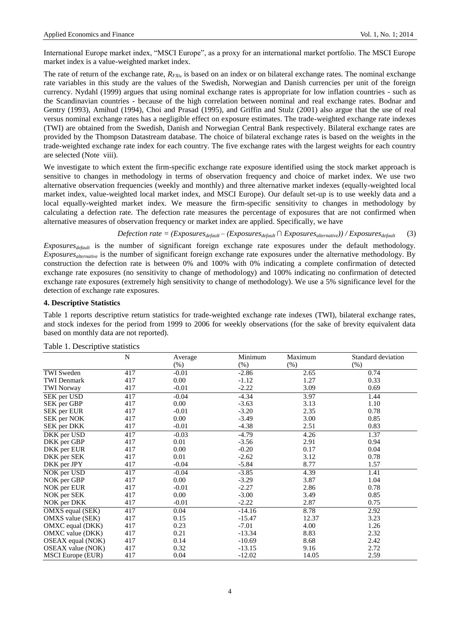International Europe market index, "MSCI Europe", as a proxy for an international market portfolio. The MSCI Europe market index is a value-weighted market index.

The rate of return of the exchange rate,  $R_{FX}$ , is based on an index or on bilateral exchange rates. The nominal exchange rate variables in this study are the values of the Swedish, Norwegian and Danish currencies per unit of the foreign currency. Nydahl (1999) argues that using nominal exchange rates is appropriate for low inflation countries - such as the Scandinavian countries - because of the high correlation between nominal and real exchange rates. Bodnar and Gentry (1993), Amihud (1994), Choi and Prasad (1995), and Griffin and Stulz (2001) also argue that the use of real versus nominal exchange rates has a negligible effect on exposure estimates. The trade-weighted exchange rate indexes (TWI) are obtained from the Swedish, Danish and Norwegian Central Bank respectively. Bilateral exchange rates are provided by the Thompson Datastream database. The choice of bilateral exchange rates is based on the weights in the trade-weighted exchange rate index for each country. The five exchange rates with the largest weights for each country are selected (Note viii).

We investigate to which extent the firm-specific exchange rate exposure identified using the stock market approach is sensitive to changes in methodology in terms of observation frequency and choice of market index. We use two alternative observation frequencies (weekly and monthly) and three alternative market indexes (equally-weighted local market index, value-weighted local market index, and MSCI Europe). Our default set-up is to use weekly data and a local equally-weighted market index. We measure the firm-specific sensitivity to changes in methodology by calculating a defection rate. The defection rate measures the percentage of exposures that are not confirmed when alternative measures of observation frequency or market index are applied. Specifically, we have

*Defection rate* =  $(Exposures_{default} - (Exposures_{default} \cap Exposures_{alternative})) / Exposures_{default}$  (3)

*Exposuresdefault* is the number of significant foreign exchange rate exposures under the default methodology. *Exposuresalternative* is the number of significant foreign exchange rate exposures under the alternative methodology. By construction the defection rate is between 0% and 100% with 0% indicating a complete confirmation of detected exchange rate exposures (no sensitivity to change of methodology) and 100% indicating no confirmation of detected exchange rate exposures (extremely high sensitivity to change of methodology). We use a 5% significance level for the detection of exchange rate exposures.

#### **4. Descriptive Statistics**

Table 1 reports descriptive return statistics for trade-weighted exchange rate indexes (TWI), bilateral exchange rates, and stock indexes for the period from 1999 to 2006 for weekly observations (for the sake of brevity equivalent data based on monthly data are not reported).

|                          | N   | Average | Minimum  | Maximum | Standard deviation |
|--------------------------|-----|---------|----------|---------|--------------------|
|                          |     | $(\%)$  | $(\%)$   | (% )    | $(\%)$             |
| <b>TWI</b> Sweden        | 417 | $-0.01$ | $-2.86$  | 2.65    | 0.74               |
| <b>TWI Denmark</b>       | 417 | 0.00    | $-1.12$  | 1.27    | 0.33               |
| <b>TWI Norway</b>        | 417 | $-0.01$ | $-2.22$  | 3.09    | 0.69               |
| SEK per USD              | 417 | $-0.04$ | $-4.34$  | 3.97    | 1.44               |
| SEK per GBP              | 417 | 0.00    | $-3.63$  | 3.13    | 1.10               |
| SEK per EUR              | 417 | $-0.01$ | $-3.20$  | 2.35    | 0.78               |
| SEK per NOK              | 417 | 0.00    | $-3.49$  | 3.00    | 0.85               |
| SEK per DKK              | 417 | $-0.01$ | $-4.38$  | 2.51    | 0.83               |
| DKK per USD              | 417 | $-0.03$ | $-4.79$  | 4.26    | 1.37               |
| DKK per GBP              | 417 | 0.01    | $-3.56$  | 2.91    | 0.94               |
| DKK per EUR              | 417 | 0.00    | $-0.20$  | 0.17    | 0.04               |
| DKK per SEK              | 417 | 0.01    | $-2.62$  | 3.12    | 0.78               |
| DKK per JPY              | 417 | $-0.04$ | $-5.84$  | 8.77    | 1.57               |
| NOK per USD              | 417 | $-0.04$ | $-3.85$  | 4.39    | 1.41               |
| NOK per GBP              | 417 | 0.00    | $-3.29$  | 3.87    | 1.04               |
| NOK per EUR              | 417 | $-0.01$ | $-2.27$  | 2.86    | 0.78               |
| NOK per SEK              | 417 | 0.00    | $-3.00$  | 3.49    | 0.85               |
| NOK per DKK              | 417 | $-0.01$ | $-2.22$  | 2.87    | 0.75               |
| OMXS equal (SEK)         | 417 | 0.04    | $-14.16$ | 8.78    | 2.92               |
| OMXS value (SEK)         | 417 | 0.15    | $-15.47$ | 12.37   | 3.23               |
| OMXC equal (DKK)         | 417 | 0.23    | $-7.01$  | 4.00    | 1.26               |
| OMXC value (DKK)         | 417 | 0.21    | $-13.34$ | 8.83    | 2.32               |
| OSEAX equal (NOK)        | 417 | 0.14    | $-10.69$ | 8.68    | 2.42               |
| OSEAX value (NOK)        | 417 | 0.32    | $-13.15$ | 9.16    | 2.72               |
| <b>MSCI</b> Europe (EUR) | 417 | 0.04    | $-12.02$ | 14.05   | 2.59               |

Table 1. Descriptive statistics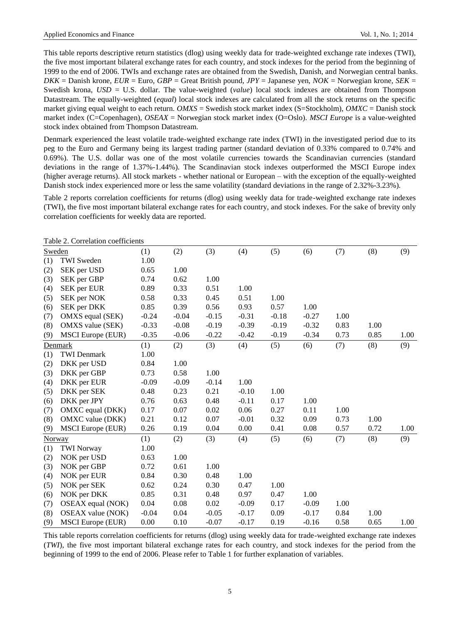This table reports descriptive return statistics (dlog) using weekly data for trade-weighted exchange rate indexes (TWI), the five most important bilateral exchange rates for each country, and stock indexes for the period from the beginning of 1999 to the end of 2006. TWIs and exchange rates are obtained from the Swedish, Danish, and Norwegian central banks. *DKK* = Danish krone, *EUR* = Euro, *GBP* = Great British pound, *JPY* = Japanese yen, *NOK* = Norwegian krone, *SEK* = Swedish krona, *USD* = U.S. dollar. The value-weighted (*value*) local stock indexes are obtained from Thompson Datastream. The equally-weighted (*equal*) local stock indexes are calculated from all the stock returns on the specific market giving equal weight to each return. *OMXS* = Swedish stock market index (S=Stockholm), *OMXC* = Danish stock market index (C=Copenhagen), *OSEAX* = Norwegian stock market index (O=Oslo). *MSCI Europe* is a value-weighted stock index obtained from Thompson Datastream.

Denmark experienced the least volatile trade-weighted exchange rate index (TWI) in the investigated period due to its peg to the Euro and Germany being its largest trading partner (standard deviation of 0.33% compared to 0.74% and 0.69%). The U.S. dollar was one of the most volatile currencies towards the Scandinavian currencies (standard deviations in the range of 1.37%-1.44%). The Scandinavian stock indexes outperformed the MSCI Europe index (higher average returns). All stock markets - whether national or European – with the exception of the equally-weighted Danish stock index experienced more or less the same volatility (standard deviations in the range of 2.32%-3.23%).

Table 2 reports correlation coefficients for returns (dlog) using weekly data for trade-weighted exchange rate indexes (TWI), the five most important bilateral exchange rates for each country, and stock indexes. For the sake of brevity only correlation coefficients for weekly data are reported.

|               | Table 2. Correlation coefficients |         |         |         |         |         |         |      |      |      |
|---------------|-----------------------------------|---------|---------|---------|---------|---------|---------|------|------|------|
| <b>Sweden</b> |                                   | (1)     | (2)     | (3)     | (4)     | (5)     | (6)     | (7)  | (8)  | (9)  |
| (1)           | <b>TWI</b> Sweden                 | 1.00    |         |         |         |         |         |      |      |      |
| (2)           | SEK per USD                       | 0.65    | 1.00    |         |         |         |         |      |      |      |
| (3)           | SEK per GBP                       | 0.74    | 0.62    | 1.00    |         |         |         |      |      |      |
| (4)           | SEK per EUR                       | 0.89    | 0.33    | 0.51    | 1.00    |         |         |      |      |      |
| (5)           | SEK per NOK                       | 0.58    | 0.33    | 0.45    | 0.51    | 1.00    |         |      |      |      |
| (6)           | SEK per DKK                       | 0.85    | 0.39    | 0.56    | 0.93    | 0.57    | 1.00    |      |      |      |
| (7)           | OMXS equal (SEK)                  | $-0.24$ | $-0.04$ | $-0.15$ | $-0.31$ | $-0.18$ | $-0.27$ | 1.00 |      |      |
| (8)           | OMXS value (SEK)                  | $-0.33$ | $-0.08$ | $-0.19$ | $-0.39$ | $-0.19$ | $-0.32$ | 0.83 | 1.00 |      |
| (9)           | <b>MSCI</b> Europe (EUR)          | $-0.35$ | $-0.06$ | $-0.22$ | $-0.42$ | $-0.19$ | $-0.34$ | 0.73 | 0.85 | 1.00 |
|               | Denmark                           | (1)     | (2)     | (3)     | (4)     | (5)     | (6)     | (7)  | (8)  | (9)  |
| (1)           | <b>TWI</b> Denmark                | 1.00    |         |         |         |         |         |      |      |      |
| (2)           | DKK per USD                       | 0.84    | 1.00    |         |         |         |         |      |      |      |
| (3)           | DKK per GBP                       | 0.73    | 0.58    | 1.00    |         |         |         |      |      |      |
| (4)           | DKK per EUR                       | $-0.09$ | $-0.09$ | $-0.14$ | 1.00    |         |         |      |      |      |
| (5)           | DKK per SEK                       | 0.48    | 0.23    | 0.21    | $-0.10$ | 1.00    |         |      |      |      |
| (6)           | DKK per JPY                       | 0.76    | 0.63    | 0.48    | $-0.11$ | 0.17    | 1.00    |      |      |      |
| (7)           | OMXC equal (DKK)                  | 0.17    | 0.07    | 0.02    | 0.06    | 0.27    | 0.11    | 1.00 |      |      |
| (8)           | OMXC value (DKK)                  | 0.21    | 0.12    | 0.07    | $-0.01$ | 0.32    | 0.09    | 0.73 | 1.00 |      |
| (9)           | <b>MSCI</b> Europe (EUR)          | 0.26    | 0.19    | 0.04    | 0.00    | 0.41    | 0.08    | 0.57 | 0.72 | 1.00 |
| Norway        |                                   | (1)     | (2)     | (3)     | (4)     | (5)     | (6)     | (7)  | (8)  | (9)  |
| (1)           | <b>TWI Norway</b>                 | 1.00    |         |         |         |         |         |      |      |      |
| (2)           | NOK per USD                       | 0.63    | 1.00    |         |         |         |         |      |      |      |
| (3)           | NOK per GBP                       | 0.72    | 0.61    | 1.00    |         |         |         |      |      |      |
| (4)           | NOK per EUR                       | 0.84    | 0.30    | 0.48    | 1.00    |         |         |      |      |      |
| (5)           | NOK per SEK                       | 0.62    | 0.24    | 0.30    | 0.47    | 1.00    |         |      |      |      |
| (6)           | NOK per DKK                       | 0.85    | 0.31    | 0.48    | 0.97    | 0.47    | 1.00    |      |      |      |
| (7)           | OSEAX equal (NOK)                 | 0.04    | 0.08    | 0.02    | $-0.09$ | 0.17    | $-0.09$ | 1.00 |      |      |
| (8)           | OSEAX value (NOK)                 | $-0.04$ | 0.04    | $-0.05$ | $-0.17$ | 0.09    | $-0.17$ | 0.84 | 1.00 |      |
| (9)           | <b>MSCI</b> Europe (EUR)          | 0.00    | 0.10    | $-0.07$ | $-0.17$ | 0.19    | $-0.16$ | 0.58 | 0.65 | 1.00 |

This table reports correlation coefficients for returns (dlog) using weekly data for trade-weighted exchange rate indexes (*TWI*), the five most important bilateral exchange rates for each country, and stock indexes for the period from the beginning of 1999 to the end of 2006. Please refer to Table 1 for further explanation of variables.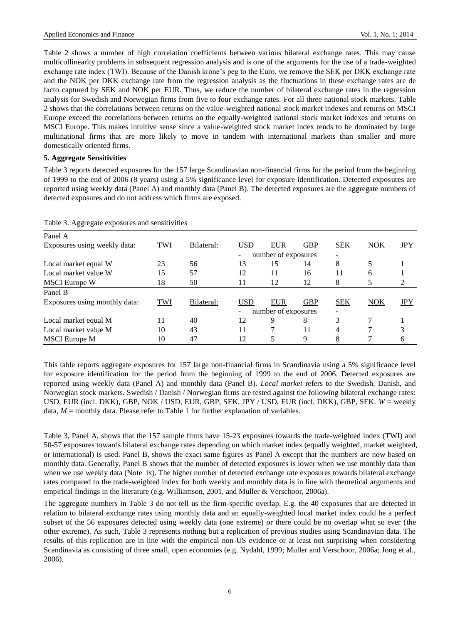Table 2 shows a number of high correlation coefficients between various bilateral exchange rates. This may cause multicollinearity problems in subsequent regression analysis and is one of the arguments for the use of a trade-weighted exchange rate index (TWI). Because of the Danish krone's peg to the Euro, we remove the SEK per DKK exchange rate and the NOK per DKK exchange rate from the regression analysis as the fluctuations in these exchange rates are de facto captured by SEK and NOK per EUR. Thus, we reduce the number of bilateral exchange rates in the regression analysis for Swedish and Norwegian firms from five to four exchange rates. For all three national stock markets, Table 2 shows that the correlations between returns on the value-weighted national stock market indexes and returns on MSCI Europe exceed the correlations between returns on the equally-weighted national stock market indexes and returns on MSCI Europe. This makes intuitive sense since a value-weighted stock market index tends to be dominated by large multinational firms that are more likely to move in tandem with international markets than smaller and more domestically oriented firms.

## **5. Aggregate Sensitivities**

Table 3 reports detected exposures for the 157 large Scandinavian non-financial firms for the period from the beginning of 1999 to the end of 2006 (8 years) using a 5% significance level for exposure identification. Detected exposures are reported using weekly data (Panel A) and monthly data (Panel B). The detected exposures are the aggregate numbers of detected exposures and do not address which firms are exposed.

| Panel A                       |            |            |            |                     |            |                          |            |            |
|-------------------------------|------------|------------|------------|---------------------|------------|--------------------------|------------|------------|
| Exposures using weekly data:  | TWI        | Bilateral: | USD        | <b>EUR</b>          | <b>GBP</b> | <b>SEK</b>               | <b>NOK</b> | <b>JPY</b> |
|                               |            |            | -          | number of exposures |            | $\overline{\phantom{0}}$ |            |            |
| Local market equal W          | 23         | 56         | 13         | 15                  | 14         | 8                        |            |            |
| Local market value W          | 15         | 57         | 12         | 11                  | 16         | 11                       | 6          |            |
| <b>MSCI</b> Europe W          | 18         | 50         | 11         | 12                  | 12         | 8                        |            | 2          |
| Panel B                       |            |            |            |                     |            |                          |            |            |
| Exposures using monthly data: | <b>TWI</b> | Bilateral: | <b>USD</b> | <b>EUR</b>          | <b>GBP</b> | <b>SEK</b>               | <b>NOK</b> | JPY        |
|                               |            |            | -          | number of exposures |            |                          |            |            |
| Local market equal M          | 11         | 40         | 12         | 9                   | 8          | 3                        |            |            |
| Local market value M          | 10         | 43         | 11         |                     | 11         | 4                        |            | 3          |
| <b>MSCI</b> Europe M          | 10         | 47         | 12         |                     | 9          | 8                        |            | 6          |

|  |  |  |  | Table 3. Aggregate exposures and sensitivities |
|--|--|--|--|------------------------------------------------|
|--|--|--|--|------------------------------------------------|

This table reports aggregate exposures for 157 large non-financial firms in Scandinavia using a 5% significance level for exposure identification for the period from the beginning of 1999 to the end of 2006. Detected exposures are reported using weekly data (Panel A) and monthly data (Panel B). *Local market* refers to the Swedish, Danish, and Norwegian stock markets. Swedish / Danish / Norwegian firms are tested against the following bilateral exchange rates: USD, EUR (incl. DKK), GBP, NOK / USD, EUR, GBP, SEK, JPY / USD, EUR (incl. DKK), GBP, SEK. *W* = weekly data,  $M =$  monthly data. Please refer to Table 1 for further explanation of variables.

Table 3, Panel A, shows that the 157 sample firms have 15-23 exposures towards the trade-weighted index (TWI) and 50-57 exposures towards bilateral exchange rates depending on which market index (equally weighted, market weighted, or international) is used. Panel B, shows the exact same figures as Panel A except that the numbers are now based on monthly data. Generally, Panel B shows that the number of detected exposures is lower when we use monthly data than when we use weekly data (Note ix). The higher number of detected exchange rate exposures towards bilateral exchange rates compared to the trade-weighted index for both weekly and monthly data is in line with theoretical arguments and empirical findings in the literature (e.g. Williamson, 2001, and Muller & Verschoor, 2006a).

The aggregate numbers in Table 3 do not tell us the firm-specific overlap. E.g. the 40 exposures that are detected in relation to bilateral exchange rates using monthly data and an equally-weighted local market index could be a perfect subset of the 56 exposures detected using weekly data (one extreme) or there could be no overlap what so ever (the other extreme). As such, Table 3 represents nothing but a replication of previous studies using Scandinavian data. The results of this replication are in line with the empirical non-US evidence or at least not surprising when considering Scandinavia as consisting of three small, open economies (e.g. Nydahl, 1999; Muller and Verschoor, 2006a; Jong et al., 2006).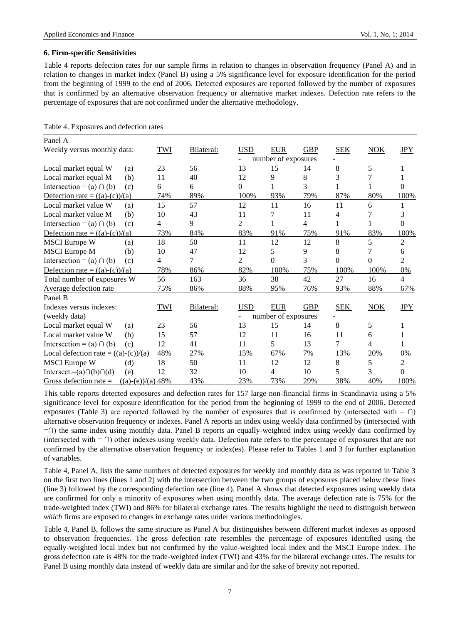## **6. Firm-specific Sensitivities**

Table 4 reports defection rates for our sample firms in relation to changes in observation frequency (Panel A) and in relation to changes in market index (Panel B) using a 5% significance level for exposure identification for the period from the beginning of 1999 to the end of 2006. Detected exposures are reported followed by the number of exposures that is confirmed by an alternative observation frequency or alternative market indexes. Defection rate refers to the percentage of exposures that are not confirmed under the alternative methodology.

| Panel A                                         |     |            |            |                     |            |            |            |                |
|-------------------------------------------------|-----|------------|------------|---------------------|------------|------------|------------|----------------|
| Weekly versus monthly data:                     | TWI | Bilateral: | <b>USD</b> | <b>EUR</b>          | <b>GBP</b> | <b>SEK</b> | <b>NOK</b> | <b>JPY</b>     |
|                                                 |     |            |            | number of exposures |            |            |            |                |
| Local market equal W<br>(a)                     | 23  | 56         | 13         | 15                  | 14         | 8          | 5          |                |
| Local market equal M<br>(b)                     | 11  | 40         | 12         | 9                   | 8          | 3          | 7          |                |
| Intersection = (a) $\cap$ (b)<br>(c)            | 6   | 6          | 0          |                     | 3          |            |            | 0              |
| Defection rate = $((a)-(c))/(a)$                | 74% | 89%        | 100%       | 93%                 | 79%        | 87%        | 80%        | 100%           |
| Local market value W<br>(a)                     | 15  | 57         | 12         | 11                  | 16         | 11         | 6          |                |
| Local market value M<br>(b)                     | 10  | 43         | 11         | 7                   | 11         | 4          | 7          |                |
| Intersection = (a) $\cap$ (b)<br>(c)            | 4   | 9          | 2          |                     | 4          |            |            | 0              |
| Defection rate = $((a)-(c))/(a)$                | 73% | 84%        | 83%        | 91%                 | 75%        | 91%        | 83%        | 100%           |
| <b>MSCI</b> Europe W<br>(a)                     | 18  | 50         | 11         | 12                  | 12         | 8          | 5          | $\overline{c}$ |
| <b>MSCI</b> Europe M<br>(b)                     | 10  | 47         | 12         | 5                   | 9          | 8          | 7          | 6              |
| Intersection = (a) $\cap$ (b)<br>(c)            | 4   | 7          | 2          | 0                   | 3          | 0          | $\theta$   | 2              |
| Defection rate = $((a)-(c))/(a)$                | 78% | 86%        | 82%        | 100%                | 75%        | 100%       | 100%       | 0%             |
| Total number of exposures W                     | 56  | 163        | 36         | 38                  | 42         | 27         | 16         | $\overline{4}$ |
| Average defection rate                          | 75% | 86%        | 88%        | 95%                 | 76%        | 93%        | 88%        | 67%            |
| Panel B                                         |     |            |            |                     |            |            |            |                |
| Indexes versus indexes:                         | TWI | Bilateral: | <b>USD</b> | <b>EUR</b>          | <b>GBP</b> | <b>SEK</b> | NOK        | <b>JPY</b>     |
| (weekly data)                                   |     |            | ۰          | number of exposures |            |            |            |                |
| Local market equal W<br>(a)                     | 23  | 56         | 13         | 15                  | 14         | 8          | 5          |                |
| Local market value W<br>(b)                     | 15  | 57         | 12         | 11                  | 16         | 11         | 6          |                |
| Intersection = (a) $\cap$ (b)<br>(c)            | 12  | 41         | 11         | 5                   | 13         | 7          | 4          |                |
| Local defection rate = $((a)-(c))/(a)$          | 48% | 27%        | 15%        | 67%                 | 7%         | 13%        | 20%        | 0%             |
| <b>MSCI</b> Europe W<br>(d)                     | 18  | 50         | 11         | 12                  | 12         | 8          | 5          | 2              |
| Intersect.= $(a) \cap (b) \cap (d)$<br>(e)      | 12  | 32         | 10         | 4                   | 10         | 5          | 3          | $\Omega$       |
| Gross defection rate $=$<br>$((a)-(e))/(a) 48%$ |     | 43%        | 23%        | 73%                 | 29%        | 38%        | 40%        | 100%           |

Table 4. Exposures and defection rates

This table reports detected exposures and defection rates for 157 large non-financial firms in Scandinavia using a 5% significance level for exposure identification for the period from the beginning of 1999 to the end of 2006. Detected exposures (Table 3) are reported followed by the number of exposures that is confirmed by (intersected with =  $\cap$ ) alternative observation frequency or indexes. Panel A reports an index using weekly data confirmed by (intersected with =∩) the same index using monthly data. Panel B reports an equally-weighted index using weekly data confirmed by (intersected with = ∩) other indexes using weekly data. Defection rate refers to the percentage of exposures that are not confirmed by the alternative observation frequency or index(es). Please refer to Tables 1 and 3 for further explanation of variables.

Table 4, Panel A, lists the same numbers of detected exposures for weekly and monthly data as was reported in Table 3 on the first two lines (lines 1 and 2) with the intersection between the two groups of exposures placed below these lines (line 3) followed by the corresponding defection rate (line 4). Panel A shows that detected exposures using weekly data are confirmed for only a minority of exposures when using monthly data. The average defection rate is 75% for the trade-weighted index (TWI) and 86% for bilateral exchange rates. The results highlight the need to distinguish between *which* firms are exposed to changes in exchange rates under various methodologies.

Table 4, Panel B, follows the same structure as Panel A but distinguishes between different market indexes as opposed to observation frequencies. The gross defection rate resembles the percentage of exposures identified using the equally-weighted local index but not confirmed by the value-weighted local index and the MSCI Europe index. The gross defection rate is 48% for the trade-weighted index (TWI) and 43% for the bilateral exchange rates. The results for Panel B using monthly data instead of weekly data are similar and for the sake of brevity not reported.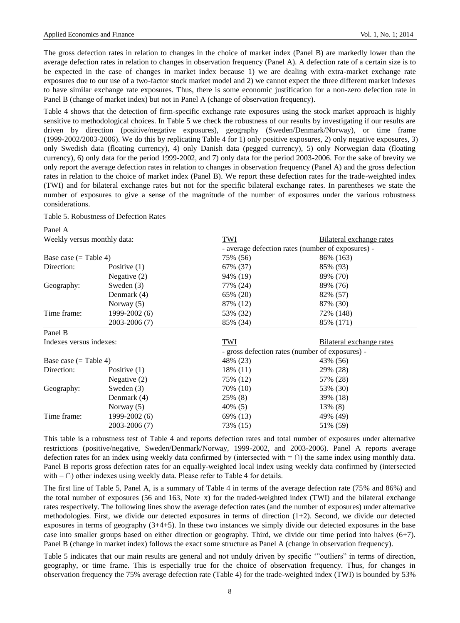The gross defection rates in relation to changes in the choice of market index (Panel B) are markedly lower than the average defection rates in relation to changes in observation frequency (Panel A). A defection rate of a certain size is to be expected in the case of changes in market index because 1) we are dealing with extra-market exchange rate exposures due to our use of a two-factor stock market model and 2) we cannot expect the three different market indexes to have similar exchange rate exposures. Thus, there is some economic justification for a non-zero defection rate in Panel B (change of market index) but not in Panel A (change of observation frequency).

Table 4 shows that the detection of firm-specific exchange rate exposures using the stock market approach is highly sensitive to methodological choices. In Table 5 we check the robustness of our results by investigating if our results are driven by direction (positive/negative exposures), geography (Sweden/Denmark/Norway), or time frame (1999-2002/2003-2006). We do this by replicating Table 4 for 1) only positive exposures, 2) only negative exposures, 3) only Swedish data (floating currency), 4) only Danish data (pegged currency), 5) only Norwegian data (floating currency), 6) only data for the period 1999-2002, and 7) only data for the period 2003-2006. For the sake of brevity we only report the average defection rates in relation to changes in observation frequency (Panel A) and the gross defection rates in relation to the choice of market index (Panel B). We report these defection rates for the trade-weighted index (TWI) and for bilateral exchange rates but not for the specific bilateral exchange rates. In parentheses we state the number of exposures to give a sense of the magnitude of the number of exposures under the various robustness considerations.

| Panel A                       |                |                                                 |                                                   |  |  |  |
|-------------------------------|----------------|-------------------------------------------------|---------------------------------------------------|--|--|--|
| Weekly versus monthly data:   |                | TWI                                             | Bilateral exchange rates                          |  |  |  |
|                               |                |                                                 | - average defection rates (number of exposures) - |  |  |  |
| Base case $(=\text{Table 4})$ |                | 75% (56)                                        | 86% (163)                                         |  |  |  |
| Direction:                    | Positive $(1)$ | 67% (37)                                        | 85% (93)                                          |  |  |  |
|                               | Negative $(2)$ | 94% (19)                                        | 89% (70)                                          |  |  |  |
| Geography:                    | Sweden $(3)$   | 77% (24)                                        | 89% (76)                                          |  |  |  |
|                               | Denmark (4)    | 65% (20)                                        | 82% (57)                                          |  |  |  |
|                               | Norway (5)     | 87% (12)                                        | 87% (30)                                          |  |  |  |
| Time frame:                   | 1999-2002 (6)  | 53% (32)                                        | 72% (148)                                         |  |  |  |
|                               | 2003-2006 (7)  | 85% (34)                                        | 85% (171)                                         |  |  |  |
| Panel B                       |                |                                                 |                                                   |  |  |  |
| Indexes versus indexes:       |                | TWI                                             | Bilateral exchange rates                          |  |  |  |
|                               |                | - gross defection rates (number of exposures) - |                                                   |  |  |  |
| Base case $(=\text{Table }4)$ |                | 48% (23)                                        | 43% (56)                                          |  |  |  |
| Direction:                    | Positive $(1)$ | 18% (11)                                        | 29% (28)                                          |  |  |  |
|                               | Negative $(2)$ | 75% (12)                                        | 57% (28)                                          |  |  |  |
| Geography:                    | Sweden $(3)$   | 70\% (10)                                       | 53% (30)                                          |  |  |  |
|                               | Denmark (4)    | 25% (8)                                         | 39% (18)                                          |  |  |  |
|                               | Norway (5)     | 40% (5)                                         | 13% (8)                                           |  |  |  |
| Time frame:                   | 1999-2002 (6)  | 69% (13)                                        | 49% (49)                                          |  |  |  |
|                               | 2003-2006 (7)  | 73% (15)                                        | 51% (59)                                          |  |  |  |

| Table 5. Robustness of Defection Rates |  |
|----------------------------------------|--|
|----------------------------------------|--|

This table is a robustness test of Table 4 and reports defection rates and total number of exposures under alternative restrictions (positive/negative, Sweden/Denmark/Norway, 1999-2002, and 2003-2006). Panel A reports average defection rates for an index using weekly data confirmed by (intersected with =  $\cap$ ) the same index using monthly data. Panel B reports gross defection rates for an equally-weighted local index using weekly data confirmed by (intersected with =  $\cap$ ) other indexes using weekly data. Please refer to Table 4 for details.

The first line of Table 5, Panel A, is a summary of Table 4 in terms of the average defection rate (75% and 86%) and the total number of exposures (56 and 163, Note x) for the traded-weighted index (TWI) and the bilateral exchange rates respectively. The following lines show the average defection rates (and the number of exposures) under alternative methodologies. First, we divide our detected exposures in terms of direction  $(1+2)$ . Second, we divide our detected exposures in terms of geography (3+4+5). In these two instances we simply divide our detected exposures in the base case into smaller groups based on either direction or geography. Third, we divide our time period into halves  $(6+7)$ . Panel B (change in market index) follows the exact some structure as Panel A (change in observation frequency).

Table 5 indicates that our main results are general and not unduly driven by specific ""outliers" in terms of direction, geography, or time frame. This is especially true for the choice of observation frequency. Thus, for changes in observation frequency the 75% average defection rate (Table 4) for the trade-weighted index (TWI) is bounded by 53%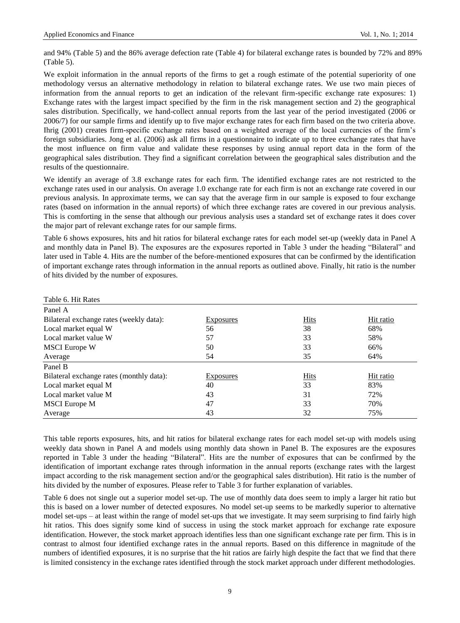and 94% (Table 5) and the 86% average defection rate (Table 4) for bilateral exchange rates is bounded by 72% and 89% (Table 5).

We exploit information in the annual reports of the firms to get a rough estimate of the potential superiority of one methodology versus an alternative methodology in relation to bilateral exchange rates. We use two main pieces of information from the annual reports to get an indication of the relevant firm-specific exchange rate exposures: 1) Exchange rates with the largest impact specified by the firm in the risk management section and 2) the geographical sales distribution. Specifically, we hand-collect annual reports from the last year of the period investigated (2006 or 2006/7) for our sample firms and identify up to five major exchange rates for each firm based on the two criteria above. Ihrig (2001) creates firm-specific exchange rates based on a weighted average of the local currencies of the firm"s foreign subsidiaries. Jong et al. (2006) ask all firms in a questionnaire to indicate up to three exchange rates that have the most influence on firm value and validate these responses by using annual report data in the form of the geographical sales distribution. They find a significant correlation between the geographical sales distribution and the results of the questionnaire.

We identify an average of 3.8 exchange rates for each firm. The identified exchange rates are not restricted to the exchange rates used in our analysis. On average 1.0 exchange rate for each firm is not an exchange rate covered in our previous analysis. In approximate terms, we can say that the average firm in our sample is exposed to four exchange rates (based on information in the annual reports) of which three exchange rates are covered in our previous analysis. This is comforting in the sense that although our previous analysis uses a standard set of exchange rates it does cover the major part of relevant exchange rates for our sample firms.

Table 6 shows exposures, hits and hit ratios for bilateral exchange rates for each model set-up (weekly data in Panel A and monthly data in Panel B). The exposures are the exposures reported in Table 3 under the heading "Bilateral" and later used in Table 4. Hits are the number of the before-mentioned exposures that can be confirmed by the identification of important exchange rates through information in the annual reports as outlined above. Finally, hit ratio is the number of hits divided by the number of exposures.

| Table 6. Hit Rates                       |                  |             |           |
|------------------------------------------|------------------|-------------|-----------|
| Panel A                                  |                  |             |           |
| Bilateral exchange rates (weekly data):  | <b>Exposures</b> | <b>Hits</b> | Hit ratio |
| Local market equal W                     | 56               | 38          | 68%       |
| Local market value W                     | 57               | 33          | 58%       |
| <b>MSCI</b> Europe W                     | 50               | 33          | 66%       |
| Average                                  | 54               | 35          | 64%       |
| Panel B                                  |                  |             |           |
| Bilateral exchange rates (monthly data): | <b>Exposures</b> | <b>Hits</b> | Hit ratio |
| Local market equal M                     | 40               | 33          | 83%       |
| Local market value M                     | 43               | 31          | 72%       |
| <b>MSCI</b> Europe M                     | 47               | 33          | 70%       |
| Average                                  | 43               | 32          | 75%       |

This table reports exposures, hits, and hit ratios for bilateral exchange rates for each model set-up with models using weekly data shown in Panel A and models using monthly data shown in Panel B. The exposures are the exposures reported in Table 3 under the heading "Bilateral". Hits are the number of exposures that can be confirmed by the identification of important exchange rates through information in the annual reports (exchange rates with the largest impact according to the risk management section and/or the geographical sales distribution). Hit ratio is the number of hits divided by the number of exposures. Please refer to Table 3 for further explanation of variables.

Table 6 does not single out a superior model set-up. The use of monthly data does seem to imply a larger hit ratio but this is based on a lower number of detected exposures. No model set-up seems to be markedly superior to alternative model set-ups – at least within the range of model set-ups that we investigate. It may seem surprising to find fairly high hit ratios. This does signify some kind of success in using the stock market approach for exchange rate exposure identification. However, the stock market approach identifies less than one significant exchange rate per firm. This is in contrast to almost four identified exchange rates in the annual reports. Based on this difference in magnitude of the numbers of identified exposures, it is no surprise that the hit ratios are fairly high despite the fact that we find that there is limited consistency in the exchange rates identified through the stock market approach under different methodologies.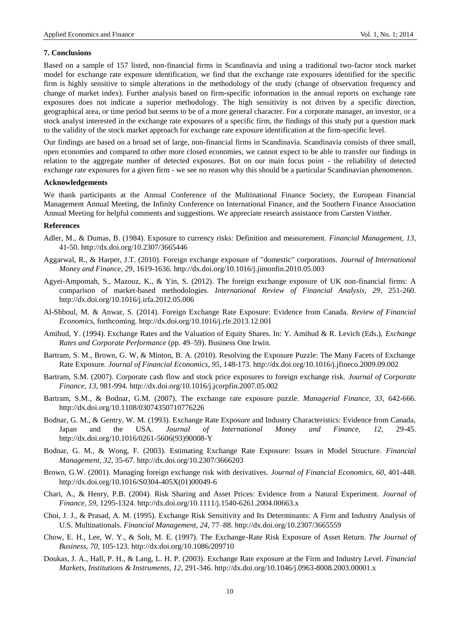## **7. Conclusions**

Based on a sample of 157 listed, non-financial firms in Scandinavia and using a traditional two-factor stock market model for exchange rate exposure identification, we find that the exchange rate exposures identified for the specific firm is highly sensitive to simple alterations in the methodology of the study (change of observation frequency and change of market index). Further analysis based on firm-specific information in the annual reports on exchange rate exposures does not indicate a superior methodology. The high sensitivity is not driven by a specific direction, geographical area, or time period but seems to be of a more general character. For a corporate manager, an investor, or a stock analyst interested in the exchange rate exposures of a specific firm, the findings of this study put a question mark to the validity of the stock market approach for exchange rate exposure identification at the firm-specific level.

Our findings are based on a broad set of large, non-financial firms in Scandinavia. Scandinavia consists of three small, open economies and compared to other more closed economies, we cannot expect to be able to transfer our findings in relation to the aggregate number of detected exposures. But on our main focus point - the reliability of detected exchange rate exposures for a given firm - we see no reason why this should be a particular Scandinavian phenomenon.

## **Acknowledgements**

We thank participants at the Annual Conference of the Multinational Finance Society, the European Financial Management Annual Meeting, the Infinity Conference on International Finance, and the Southern Finance Association Annual Meeting for helpful comments and suggestions. We appreciate research assistance from Carsten Vinther.

#### **References**

- Adler, M., & Dumas, B. (1984). Exposure to currency risks: Definition and measurement. *Financial Management, 13*, 41-50. <http://dx.doi.org/10.2307/3665446>
- Aggarwal, R., & Harper, J.T. (2010). Foreign exchange exposure of "domestic" corporations. *Journal of International Money and Finance, 29*, 1619-1636.<http://dx.doi.org/10.1016/j.jimonfin.2010.05.003>
- Agyei-Ampomah, S., Mazouz, K., & Yin, S. (2012). The foreign exchange exposure of UK non-financial firms: A comparison of market-based methodologies. *International Review of Financial Analysis, 29*, 251-260. <http://dx.doi.org/10.1016/j.irfa.2012.05.006>
- Al-Shboul, M. & Anwar, S. (2014). Foreign Exchange Rate Exposure: Evidence from Canada. *Review of Financial Economics*, forthcoming.<http://dx.doi.org/10.1016/j.rfe.2013.12.001>
- Amihud, Y. (1994). Exchange Rates and the Valuation of Equity Shares. In: Y. Amihud & R. Levich (Eds.), *Exchange Rates and Corporate Performance* (pp. 49–59). Business One Irwin.
- Bartram, S. M., Brown, G. W, & Minton, B. A. (2010). Resolving the Exposure Puzzle: The Many Facets of Exchange Rate Exposure. *Journal of Financial Economics, 95*, 148-173.<http://dx.doi.org/10.1016/j.jfineco.2009.09.002>
- Bartram, S.M. (2007). Corporate cash flow and stock price exposures to foreign exchange risk. *Journal of Corporate Finance, 13*, 981-994.<http://dx.doi.org/10.1016/j.jcorpfin.2007.05.002>
- Bartram, S.M., & Bodnar, G.M. (2007). The exchange rate exposure puzzle. *Managerial Finance, 33*, 642-666. <http://dx.doi.org/10.1108/03074350710776226>
- Bodnar, G. M., & Gentry, W. M. (1993). Exchange Rate Exposure and Industry Characteristics: Evidence from Canada, Japan and the USA. *Journal of International Money and Finance, 12*, 29-45. [http://dx.doi.org/10.1016/0261-5606\(93\)90008-Y](http://dx.doi.org/10.1016/0261-5606(93)90008-Y)
- Bodnar, G. M., & Wong, F. (2003). Estimating Exchange Rate Exposure: Issues in Model Structure. *Financial Management, 32*, 35-67.<http://dx.doi.org/10.2307/3666203>
- Brown, G.W. (2001). Managing foreign exchange risk with derivatives. *Journal of Financial Economics, 60*, 401-448. [http://dx.doi.org/10.1016/S0304-405X\(01\)00049-6](http://dx.doi.org/10.1016/S0304-405X(01)00049-6)
- Chari, A., & Henry, P.B. (2004). Risk Sharing and Asset Prices: Evidence from a Natural Experiment. *Journal of Finance, 59*, 1295-1324.<http://dx.doi.org/10.1111/j.1540-6261.2004.00663.x>
- Choi, J. J., & Prasad, A. M. (1995). Exchange Risk Sensitivity and Its Determinants: A Firm and Industry Analysis of U.S. Multinationals. *Financial Management, 24*, 77–88.<http://dx.doi.org/10.2307/3665559>
- Chow, E. H., Lee, W. Y., & Solt, M. E. (1997). The Exchange-Rate Risk Exposure of Asset Return. *The Journal of Business, 70*, 105-123.<http://dx.doi.org/10.1086/209710>
- Doukas, J. A., Hall, P. H., & Lang, L. H. P. (2003). Exchange Rate exposure at the Firm and Industry Level. *Financial Markets, Institutions & Instruments, 12*, 291-346.<http://dx.doi.org/10.1046/j.0963-8008.2003.00001.x>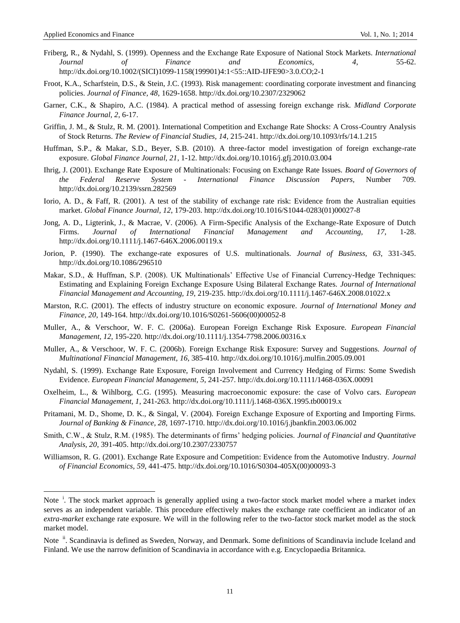1

- Friberg, R., & Nydahl, S. (1999). Openness and the Exchange Rate Exposure of National Stock Markets. *International Journal of Finance and Economics, 4*, 55-62. [http://dx.doi.org/10.1002/\(SICI\)1099-1158\(199901\)4:1<55::AID-IJFE90>3.0.CO;2-1](http://dx.doi.org/10.1002/(SICI)1099-1158(199901)4:1%3c55::AID-IJFE90%3e3.0.CO;2-1)
- Froot, K.A., Scharfstein, D.S., & Stein, J.C. (1993). Risk management: coordinating corporate investment and financing policies. *Journal of Finance, 48*, 1629-1658.<http://dx.doi.org/10.2307/2329062>
- Garner, C.K., & Shapiro, A.C. (1984). A practical method of assessing foreign exchange risk. *Midland Corporate Finance Journal, 2*, 6-17.
- Griffin, J. M., & Stulz, R. M. (2001). International Competition and Exchange Rate Shocks: A Cross-Country Analysis of Stock Returns. *The Review of Financial Studies, 14*, 215-241[. http://dx.doi.org/10.1093/rfs/14.1.215](http://dx.doi.org/10.1093/rfs/14.1.215)
- Huffman, S.P., & Makar, S.D., Beyer, S.B. (2010). A three-factor model investigation of foreign exchange-rate exposure. *Global Finance Journal, 21*, 1-12.<http://dx.doi.org/10.1016/j.gfj.2010.03.004>
- Ihrig, J. (2001). Exchange Rate Exposure of Multinationals: Focusing on Exchange Rate Issues. *Board of Governors of the Federal Reserve System - International Finance Discussion Papers,* Number 709. <http://dx.doi.org/10.2139/ssrn.282569>
- Iorio, A. D., & Faff, R. (2001). A test of the stability of exchange rate risk: Evidence from the Australian equities market. *Global Finance Journal, 12*, 179-203[. http://dx.doi.org/10.1016/S1044-0283\(01\)00027-8](http://dx.doi.org/10.1016/S1044-0283(01)00027-8)
- Jong, A. D., Ligterink, J., & Macrae, V. (2006). A Firm-Specific Analysis of the Exchange-Rate Exposure of Dutch Firms. *Journal of International Financial Management and Accounting, 17*, 1-28. <http://dx.doi.org/10.1111/j.1467-646X.2006.00119.x>
- Jorion, P. (1990). The exchange-rate exposures of U.S. multinationals. *Journal of Business, 63*, 331-345. <http://dx.doi.org/10.1086/296510>
- Makar, S.D., & Huffman, S.P. (2008). UK Multinationals' Effective Use of Financial Currency-Hedge Techniques: Estimating and Explaining Foreign Exchange Exposure Using Bilateral Exchange Rates. *Journal of International Financial Management and Accounting, 19*, 219-235.<http://dx.doi.org/10.1111/j.1467-646X.2008.01022.x>
- Marston, R.C. (2001). The effects of industry structure on economic exposure. *Journal of International Money and Finance, 20*, 149-164. [http://dx.doi.org/10.1016/S0261-5606\(00\)00052-8](http://dx.doi.org/10.1016/S0261-5606(00)00052-8)
- Muller, A., & Verschoor, W. F. C. (2006a). European Foreign Exchange Risk Exposure. *European Financial Management, 12*, 195-220.<http://dx.doi.org/10.1111/j.1354-7798.2006.00316.x>
- Muller, A., & Verschoor, W. F. C. (2006b). Foreign Exchange Risk Exposure: Survey and Suggestions. *Journal of Multinational Financial Management, 16*, 385-410.<http://dx.doi.org/10.1016/j.mulfin.2005.09.001>
- Nydahl, S. (1999). Exchange Rate Exposure, Foreign Involvement and Currency Hedging of Firms: Some Swedish Evidence. *European Financial Management, 5*, 241-257.<http://dx.doi.org/10.1111/1468-036X.00091>
- Oxelheim, L., & Wihlborg, C.G. (1995). Measuring macroeconomic exposure: the case of Volvo cars. *European Financial Management, 1*, 241-263[. http://dx.doi.org/10.1111/j.1468-036X.1995.tb00019.x](http://dx.doi.org/10.1111/j.1468-036X.1995.tb00019.x)
- Pritamani, M. D., Shome, D. K., & Singal, V. (2004). Foreign Exchange Exposure of Exporting and Importing Firms. *Journal of Banking & Finance, 28*, 1697-1710.<http://dx.doi.org/10.1016/j.jbankfin.2003.06.002>
- Smith, C.W., & Stulz, R.M. (1985). The determinants of firms" hedging policies. *Journal of Financial and Quantitative Analysis, 20*, 391-405.<http://dx.doi.org/10.2307/2330757>
- Williamson, R. G. (2001). Exchange Rate Exposure and Competition: Evidence from the Automotive Industry. *Journal of Financial Economics, 59*, 441-475[. http://dx.doi.org/10.1016/S0304-405X\(00\)00093-3](http://dx.doi.org/10.1016/S0304-405X(00)00093-3)

Note <sup>i</sup>. The stock market approach is generally applied using a two-factor stock market model where a market index serves as an independent variable. This procedure effectively makes the exchange rate coefficient an indicator of an *extra-market* exchange rate exposure. We will in the following refer to the two-factor stock market model as the stock market model.

Note <sup>ii</sup>. Scandinavia is defined as Sweden, Norway, and Denmark. Some definitions of Scandinavia include Iceland and Finland. We use the narrow definition of Scandinavia in accordance with e.g. Encyclopaedia Britannica.